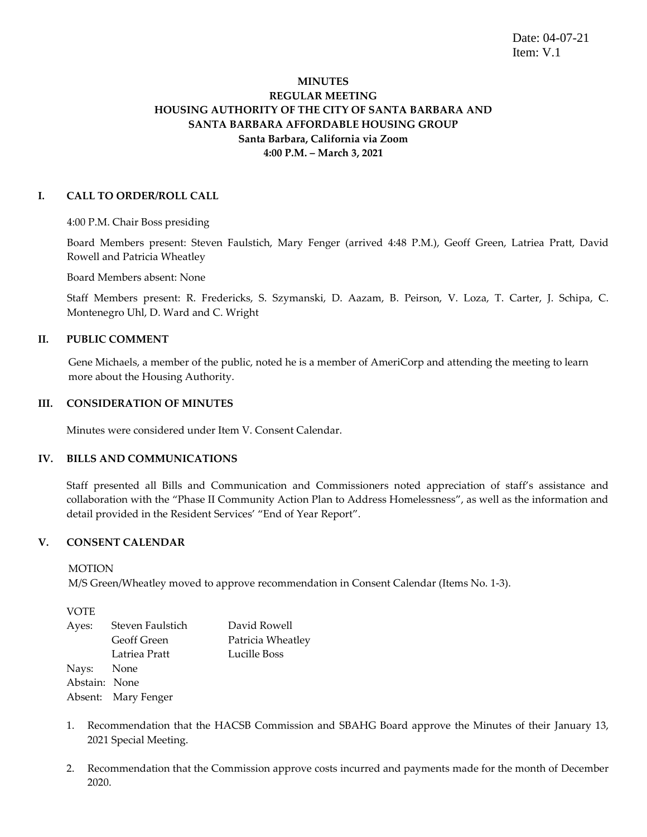Date: 04-07-21 Item: V.1

# **MINUTES REGULAR MEETING HOUSING AUTHORITY OF THE CITY OF SANTA BARBARA AND SANTA BARBARA AFFORDABLE HOUSING GROUP Santa Barbara, California via Zoom 4:00 P.M. – March 3, 2021**

# **I. CALL TO ORDER/ROLL CALL**

4:00 P.M. Chair Boss presiding

Board Members present: Steven Faulstich, Mary Fenger (arrived 4:48 P.M.), Geoff Green, Latriea Pratt, David Rowell and Patricia Wheatley

Board Members absent: None

Staff Members present: R. Fredericks, S. Szymanski, D. Aazam, B. Peirson, V. Loza, T. Carter, J. Schipa, C. Montenegro Uhl, D. Ward and C. Wright

### **II. PUBLIC COMMENT**

Gene Michaels, a member of the public, noted he is a member of AmeriCorp and attending the meeting to learn more about the Housing Authority.

#### **III. CONSIDERATION OF MINUTES**

Minutes were considered under Item V. Consent Calendar.

### **IV. BILLS AND COMMUNICATIONS**

Staff presented all Bills and Communication and Commissioners noted appreciation of staff's assistance and collaboration with the "Phase II Community Action Plan to Address Homelessness", as well as the information and detail provided in the Resident Services' "End of Year Report".

### **V. CONSENT CALENDAR**

**MOTION** 

M/S Green/Wheatley moved to approve recommendation in Consent Calendar (Items No. 1-3).

| Ayes:         | Steven Faulstich    | David Rowell      |
|---------------|---------------------|-------------------|
|               | <b>Geoff Green</b>  | Patricia Wheatley |
|               | Latriea Pratt       | Lucille Boss      |
| Nays: None    |                     |                   |
| Abstain: None |                     |                   |
|               | Absent: Mary Fenger |                   |

- 1. Recommendation that the HACSB Commission and SBAHG Board approve the Minutes of their January 13, 2021 Special Meeting.
- 2. Recommendation that the Commission approve costs incurred and payments made for the month of December 2020.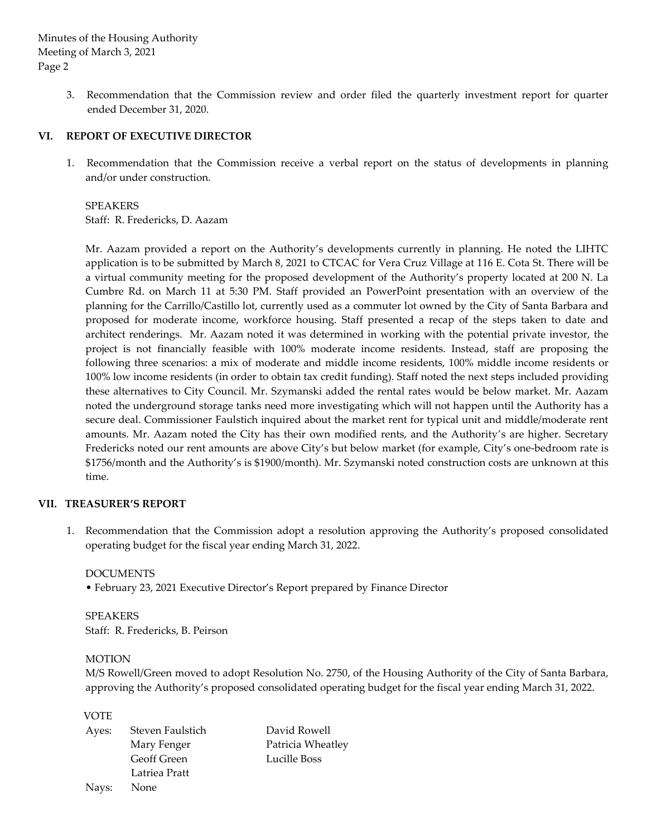> 3. Recommendation that the Commission review and order filed the quarterly investment report for quarter ended December 31, 2020.

# **VI. REPORT OF EXECUTIVE DIRECTOR**

1. Recommendation that the Commission receive a verbal report on the status of developments in planning and/or under construction.

SPEAKERS Staff: R. Fredericks, D. Aazam

Mr. Aazam provided a report on the Authority's developments currently in planning. He noted the LIHTC application is to be submitted by March 8, 2021 to CTCAC for Vera Cruz Village at 116 E. Cota St. There will be a virtual community meeting for the proposed development of the Authority's property located at 200 N. La Cumbre Rd. on March 11 at 5:30 PM. Staff provided an PowerPoint presentation with an overview of the planning for the Carrillo/Castillo lot, currently used as a commuter lot owned by the City of Santa Barbara and proposed for moderate income, workforce housing. Staff presented a recap of the steps taken to date and architect renderings. Mr. Aazam noted it was determined in working with the potential private investor, the project is not financially feasible with 100% moderate income residents. Instead, staff are proposing the following three scenarios: a mix of moderate and middle income residents, 100% middle income residents or 100% low income residents (in order to obtain tax credit funding). Staff noted the next steps included providing these alternatives to City Council. Mr. Szymanski added the rental rates would be below market. Mr. Aazam noted the underground storage tanks need more investigating which will not happen until the Authority has a secure deal. Commissioner Faulstich inquired about the market rent for typical unit and middle/moderate rent amounts. Mr. Aazam noted the City has their own modified rents, and the Authority's are higher. Secretary Fredericks noted our rent amounts are above City's but below market (for example, City's one-bedroom rate is \$1756/month and the Authority's is \$1900/month). Mr. Szymanski noted construction costs are unknown at this time.

### **VII. TREASURER'S REPORT**

1. Recommendation that the Commission adopt a resolution approving the Authority's proposed consolidated operating budget for the fiscal year ending March 31, 2022.

DOCUMENTS

• February 23, 2021 Executive Director's Report prepared by Finance Director

SPEAKERS Staff: R. Fredericks, B. Peirson

### MOTION

M/S Rowell/Green moved to adopt Resolution No. 2750, of the Housing Authority of the City of Santa Barbara, approving the Authority's proposed consolidated operating budget for the fiscal year ending March 31, 2022.

| Ayes: | Steven Faulstich   | David Rowell      |
|-------|--------------------|-------------------|
|       | Mary Fenger        | Patricia Wheatley |
|       | <b>Geoff Green</b> | Lucille Boss      |
|       | Latriea Pratt      |                   |
| Nays: | None               |                   |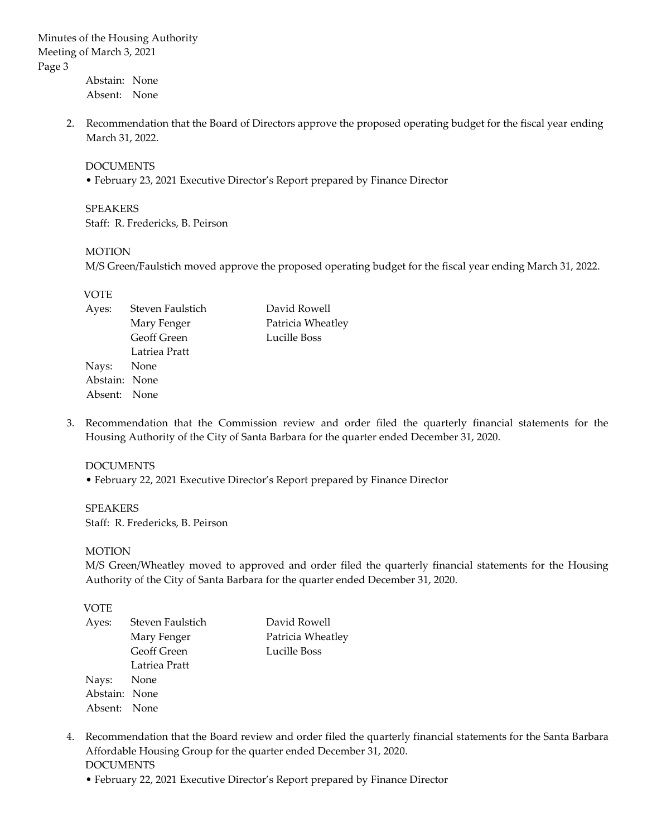Abstain: None Absent: None

2. Recommendation that the Board of Directors approve the proposed operating budget for the fiscal year ending March 31, 2022.

#### DOCUMENTS

• February 23, 2021 Executive Director's Report prepared by Finance Director

SPEAKERS Staff: R. Fredericks, B. Peirson

#### MOTION

M/S Green/Faulstich moved approve the proposed operating budget for the fiscal year ending March 31, 2022.

### VOTE

| Ayes:         | Steven Faulstich   | David Rowell      |
|---------------|--------------------|-------------------|
|               | Mary Fenger        | Patricia Wheatley |
|               | <b>Geoff Green</b> | Lucille Boss      |
|               | Latriea Pratt      |                   |
| Nays: None    |                    |                   |
| Abstain: None |                    |                   |
| Absent: None  |                    |                   |

3. Recommendation that the Commission review and order filed the quarterly financial statements for the Housing Authority of the City of Santa Barbara for the quarter ended December 31, 2020.

### DOCUMENTS

• February 22, 2021 Executive Director's Report prepared by Finance Director

SPEAKERS Staff: R. Fredericks, B. Peirson

### MOTION

M/S Green/Wheatley moved to approved and order filed the quarterly financial statements for the Housing Authority of the City of Santa Barbara for the quarter ended December 31, 2020.

| Ayes:         | Steven Faulstich | David Rowell      |
|---------------|------------------|-------------------|
|               | Mary Fenger      | Patricia Wheatley |
|               | Geoff Green      | Lucille Boss      |
|               | Latriea Pratt    |                   |
| Nays: None    |                  |                   |
| Abstain: None |                  |                   |
| Absent: None  |                  |                   |

- 4. Recommendation that the Board review and order filed the quarterly financial statements for the Santa Barbara Affordable Housing Group for the quarter ended December 31, 2020. DOCUMENTS
	- February 22, 2021 Executive Director's Report prepared by Finance Director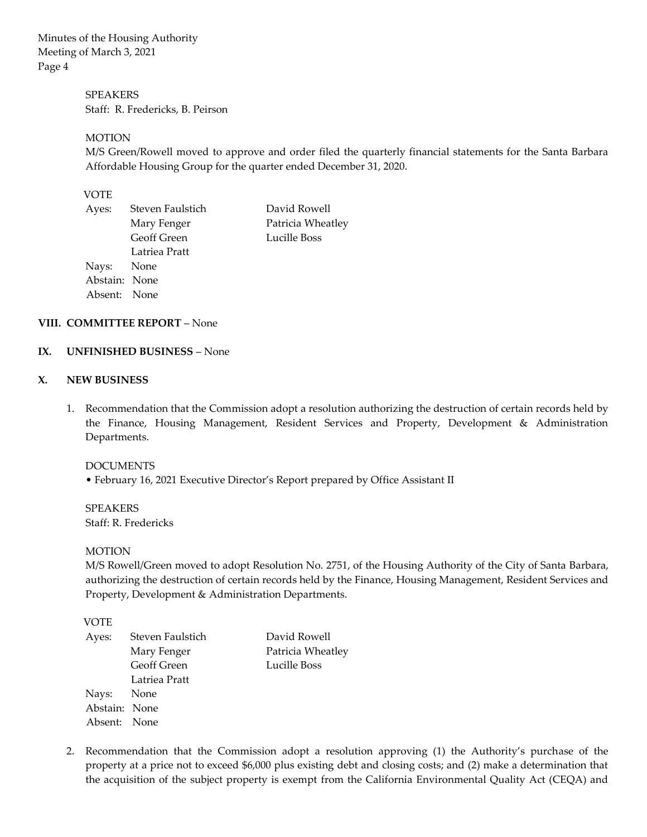> SPEAKERS Staff: R. Fredericks, B. Peirson

# **MOTION**

M/S Green/Rowell moved to approve and order filed the quarterly financial statements for the Santa Barbara Affordable Housing Group for the quarter ended December 31, 2020.

# VOTE

| Ayes:         | Steven Faulstich   | David Rowell      |
|---------------|--------------------|-------------------|
|               | Mary Fenger        | Patricia Wheatley |
|               | <b>Geoff Green</b> | Lucille Boss      |
|               | Latriea Pratt      |                   |
| Nays: None    |                    |                   |
| Abstain: None |                    |                   |
| Absent: None  |                    |                   |

# **VIII. COMMITTEE REPORT** – None

### **IX. UNFINISHED BUSINESS** – None

#### **X. NEW BUSINESS**

1. Recommendation that the Commission adopt a resolution authorizing the destruction of certain records held by the Finance, Housing Management, Resident Services and Property, Development & Administration Departments.

### DOCUMENTS

• February 16, 2021 Executive Director's Report prepared by Office Assistant II

**SPEAKERS** Staff: R. Fredericks

#### MOTION

M/S Rowell/Green moved to adopt Resolution No. 2751, of the Housing Authority of the City of Santa Barbara, authorizing the destruction of certain records held by the Finance, Housing Management, Resident Services and Property, Development & Administration Departments.

### VOTE

| Ayes:         | Steven Faulstich   | David Rowell      |
|---------------|--------------------|-------------------|
|               | Mary Fenger        | Patricia Wheatley |
|               | <b>Geoff Green</b> | Lucille Boss      |
|               | Latriea Pratt      |                   |
| Nays: None    |                    |                   |
| Abstain: None |                    |                   |
| Absent: None  |                    |                   |

2. Recommendation that the Commission adopt a resolution approving (1) the Authority's purchase of the property at a price not to exceed \$6,000 plus existing debt and closing costs; and (2) make a determination that the acquisition of the subject property is exempt from the California Environmental Quality Act (CEQA) and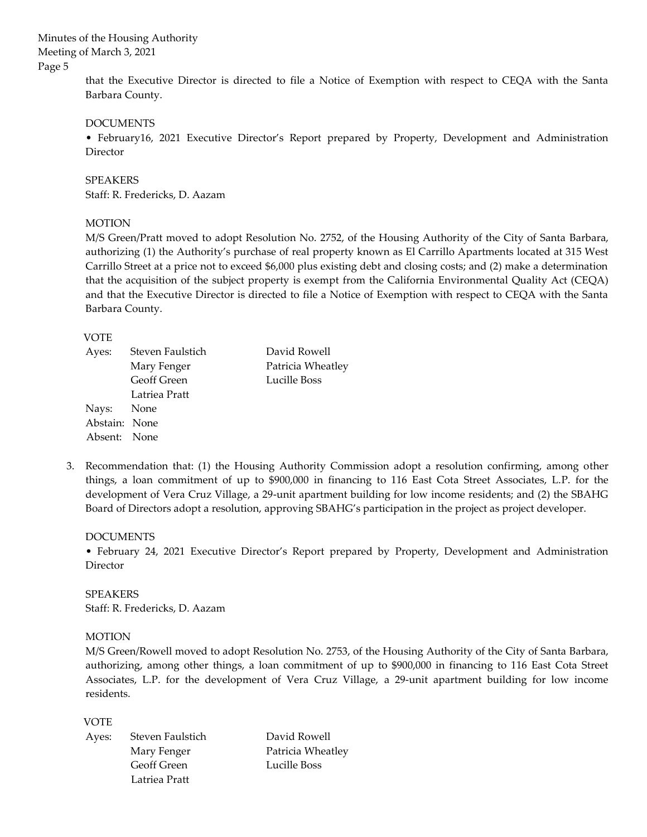> that the Executive Director is directed to file a Notice of Exemption with respect to CEQA with the Santa Barbara County.

### DOCUMENTS

• February16, 2021 Executive Director's Report prepared by Property, Development and Administration Director

# SPEAKERS

Staff: R. Fredericks, D. Aazam

#### **MOTION**

M/S Green/Pratt moved to adopt Resolution No. 2752, of the Housing Authority of the City of Santa Barbara, authorizing (1) the Authority's purchase of real property known as El Carrillo Apartments located at 315 West Carrillo Street at a price not to exceed \$6,000 plus existing debt and closing costs; and (2) make a determination that the acquisition of the subject property is exempt from the California Environmental Quality Act (CEQA) and that the Executive Director is directed to file a Notice of Exemption with respect to CEQA with the Santa Barbara County.

#### VOTE

| Ayes:         | Steven Faulstich | David Rowell      |
|---------------|------------------|-------------------|
|               | Mary Fenger      | Patricia Wheatley |
|               | Geoff Green      | Lucille Boss      |
|               | Latriea Pratt    |                   |
| Nays: None    |                  |                   |
| Abstain: None |                  |                   |
| Absent: None  |                  |                   |

3. Recommendation that: (1) the Housing Authority Commission adopt a resolution confirming, among other things, a loan commitment of up to \$900,000 in financing to 116 East Cota Street Associates, L.P. for the development of Vera Cruz Village, a 29-unit apartment building for low income residents; and (2) the SBAHG Board of Directors adopt a resolution, approving SBAHG's participation in the project as project developer.

DOCUMENTS

• February 24, 2021 Executive Director's Report prepared by Property, Development and Administration Director

SPEAKERS Staff: R. Fredericks, D. Aazam

### MOTION

M/S Green/Rowell moved to adopt Resolution No. 2753, of the Housing Authority of the City of Santa Barbara, authorizing, among other things, a loan commitment of up to \$900,000 in financing to 116 East Cota Street Associates, L.P. for the development of Vera Cruz Village, a 29-unit apartment building for low income residents.

| Ayes: | Steven Faulstich | David Rowell      |
|-------|------------------|-------------------|
|       | Mary Fenger      | Patricia Wheatley |
|       | Geoff Green      | Lucille Boss      |
|       | Latriea Pratt    |                   |